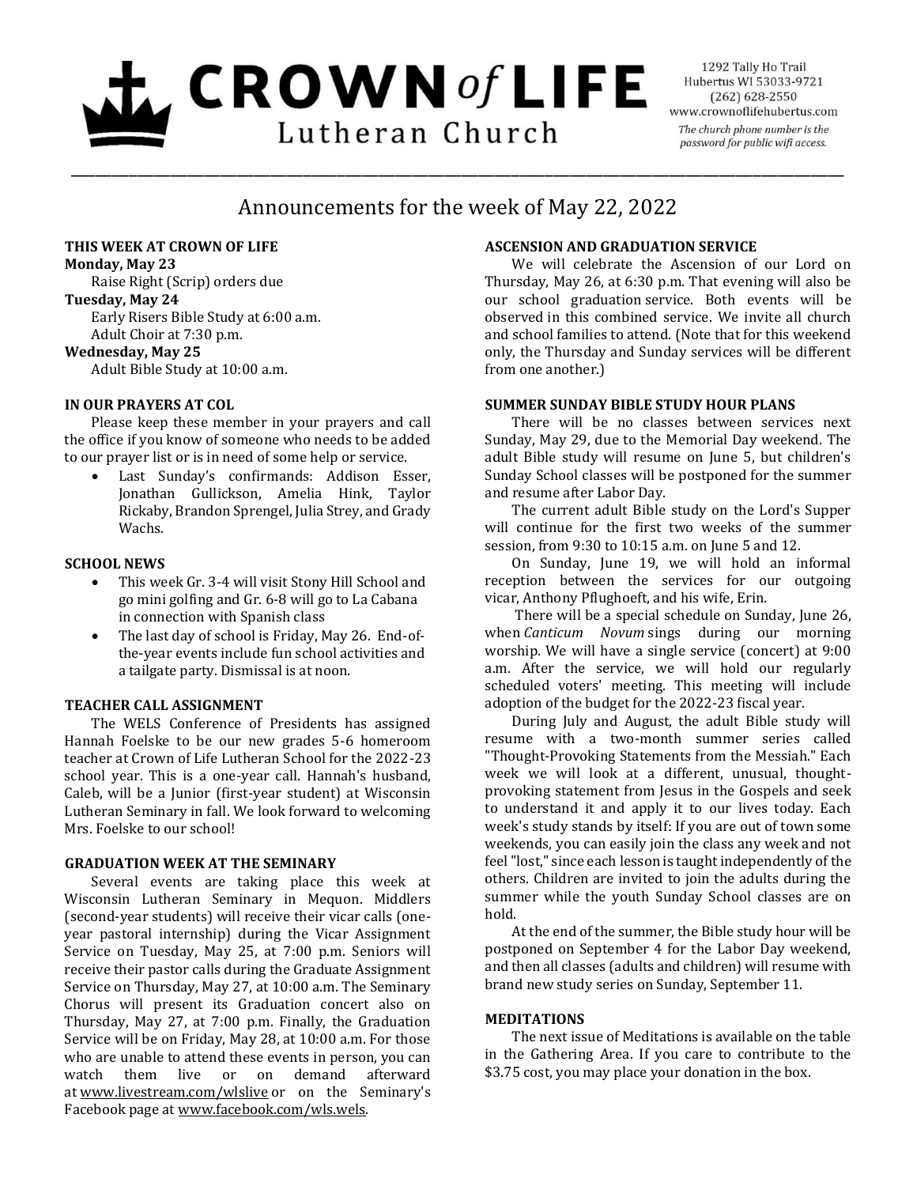# $L$  CROWN of LIFE Lutheran Church

1292 Tally Ho Trail Hubertus WI 53033-9721  $(262) 628 - 2550$ www.crownoflifehubertus.com The church phone number is the password for public wifi access.

## Announcements for the week of May 22, 2022

\_\_\_\_\_\_\_\_\_\_\_\_\_\_\_\_\_\_\_\_\_\_\_\_\_\_\_\_\_\_\_\_\_\_\_\_\_\_\_\_\_\_\_\_\_\_\_\_\_\_\_\_\_\_\_\_\_\_\_\_\_\_\_\_\_\_\_\_\_\_\_\_\_\_\_\_\_\_\_\_\_\_\_\_\_\_\_\_\_\_\_\_\_

#### **THIS WEEK AT CROWN OF LIFE**

**Monday, May 23**

Raise Right (Scrip) orders due **Tuesday, May 24**

Early Risers Bible Study at 6:00 a.m. Adult Choir at 7:30 p.m.

#### **Wednesday, May 25**

Adult Bible Study at 10:00 a.m.

#### **IN OUR PRAYERS AT COL**

Please keep these member in your prayers and call the office if you know of someone who needs to be added to our prayer list or is in need of some help or service.

 Last Sunday's confirmands: Addison Esser, Jonathan Gullickson, Amelia Hink, Taylor Rickaby, Brandon Sprengel, Julia Strey, and Grady Wachs.

#### **SCHOOL NEWS**

- This week Gr. 3-4 will visit Stony Hill School and go mini golfing and Gr. 6-8 will go to La Cabana in connection with Spanish class
- The last day of school is Friday, May 26. End-ofthe-year events include fun school activities and a tailgate party. Dismissal is at noon.

#### **TEACHER CALL ASSIGNMENT**

The WELS Conference of Presidents has assigned Hannah Foelske to be our new grades 5-6 homeroom teacher at Crown of Life Lutheran School for the 2022-23 school year. This is a one-year call. Hannah's husband, Caleb, will be a Junior (first-year student) at Wisconsin Lutheran Seminary in fall. We look forward to welcoming Mrs. Foelske to our school!

#### **GRADUATION WEEK AT THE SEMINARY**

Several events are taking place this week at Wisconsin Lutheran Seminary in Mequon. Middlers (second-year students) will receive their vicar calls (oneyear pastoral internship) during the Vicar Assignment Service on Tuesday, May 25, at 7:00 p.m. Seniors will receive their pastor calls during the Graduate Assignment Service on Thursday, May 27, at 10:00 a.m. The Seminary Chorus will present its Graduation concert also on Thursday, May 27, at 7:00 p.m. Finally, the Graduation Service will be on Friday, May 28, at 10:00 a.m. For those who are unable to attend these events in person, you can watch them live or on demand afterward at [www.livestream.com/wlslive](http://www.livestream.com/wlslive) or on the Seminary's Facebook page at [www.facebook.com/wls.wels.](http://www.facebook.com/wls.wels)

### **ASCENSION AND GRADUATION SERVICE**

We will celebrate the Ascension of our Lord on Thursday, May 26, at 6:30 p.m. That evening will also be our school graduation service. Both events will be observed in this combined service. We invite all church and school families to attend. (Note that for this weekend only, the Thursday and Sunday services will be different from one another.)

#### **SUMMER SUNDAY BIBLE STUDY HOUR PLANS**

There will be no classes between services next Sunday, May 29, due to the Memorial Day weekend. The adult Bible study will resume on June 5, but children's Sunday School classes will be postponed for the summer and resume after Labor Day.

The current adult Bible study on the Lord's Supper will continue for the first two weeks of the summer session, from 9:30 to 10:15 a.m. on June 5 and 12.

On Sunday, June 19, we will hold an informal reception between the services for our outgoing vicar, Anthony Pflughoeft, and his wife, Erin.

There will be a special schedule on Sunday, June 26, when *Canticum Novum* sings during our morning worship. We will have a single service (concert) at 9:00 a.m. After the service, we will hold our regularly scheduled voters' meeting. This meeting will include adoption of the budget for the 2022-23 fiscal year.

During July and August, the adult Bible study will resume with a two-month summer series called "Thought-Provoking Statements from the Messiah." Each week we will look at a different, unusual, thoughtprovoking statement from Jesus in the Gospels and seek to understand it and apply it to our lives today. Each week's study stands by itself: If you are out of town some weekends, you can easily join the class any week and not feel "lost," since each lesson is taught independently of the others. Children are invited to join the adults during the summer while the youth Sunday School classes are on hold.

At the end of the summer, the Bible study hour will be postponed on September 4 for the Labor Day weekend, and then all classes (adults and children) will resume with brand new study series on Sunday, September 11.

#### **MEDITATIONS**

The next issue of Meditations is available on the table in the Gathering Area. If you care to contribute to the \$3.75 cost, you may place your donation in the box.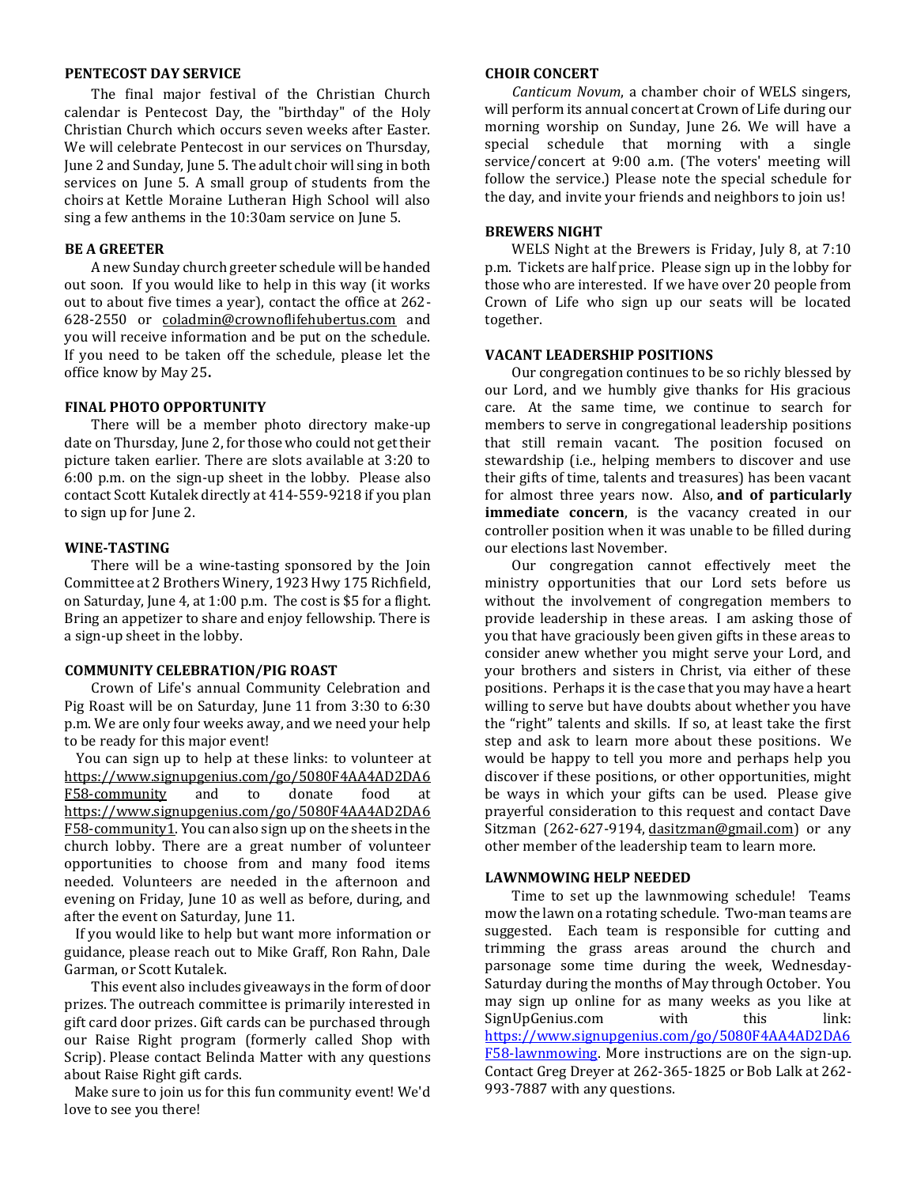#### **PENTECOST DAY SERVICE**

The final major festival of the Christian Church calendar is Pentecost Day, the "birthday" of the Holy Christian Church which occurs seven weeks after Easter. We will celebrate Pentecost in our services on Thursday, June 2 and Sunday, June 5. The adult choir will sing in both services on June 5. A small group of students from the choirs at Kettle Moraine Lutheran High School will also sing a few anthems in the 10:30am service on June 5.

#### **BE A GREETER**

A new Sunday church greeter schedule will be handed out soon. If you would like to help in this way (it works out to about five times a year), contact the office at 262- 628-2550 or [coladmin@crownoflifehubertus.com](mailto:coladmin@crownoflifehubertus.com) and you will receive information and be put on the schedule. If you need to be taken off the schedule, please let the office know by May 25**.**

#### **FINAL PHOTO OPPORTUNITY**

 There will be a member photo directory make-up date on Thursday, June 2, for those who could not get their picture taken earlier. There are slots available at 3:20 to 6:00 p.m. on the sign-up sheet in the lobby. Please also contact Scott Kutalek directly at 414-559-9218 if you plan to sign up for June 2.

#### **WINE-TASTING**

There will be a wine-tasting sponsored by the Join Committee at 2 Brothers Winery, 1923 Hwy 175 Richfield, on Saturday, June 4, at 1:00 p.m. The cost is \$5 for a flight. Bring an appetizer to share and enjoy fellowship. There is a sign-up sheet in the lobby.

#### **COMMUNITY CELEBRATION/PIG ROAST**

Crown of Life's annual Community Celebration and Pig Roast will be on Saturday, June 11 from 3:30 to 6:30 p.m. We are only four weeks away, and we need your help to be ready for this major event!

You can sign up to help at these links: to volunteer at [https://www.signupgenius.com/go/5080F4AA4AD2DA6](https://www.signupgenius.com/go/5080F4AA4AD2DA6F58-community) [F58-community](https://www.signupgenius.com/go/5080F4AA4AD2DA6F58-community) and to donate food at [https://www.signupgenius.com/go/5080F4AA4AD2DA6](https://www.signupgenius.com/go/5080F4AA4AD2DA6F58-community1) [F58-community1.](https://www.signupgenius.com/go/5080F4AA4AD2DA6F58-community1) You can also sign up on the sheets in the church lobby. There are a great number of volunteer opportunities to choose from and many food items needed. Volunteers are needed in the afternoon and evening on Friday, June 10 as well as before, during, and after the event on Saturday, June 11.

If you would like to help but want more information or guidance, please reach out to Mike Graff, Ron Rahn, Dale Garman, or Scott Kutalek.

This event also includes giveaways in the form of door prizes. The outreach committee is primarily interested in gift card door prizes. Gift cards can be purchased through our Raise Right program (formerly called Shop with Scrip). Please contact Belinda Matter with any questions about Raise Right gift cards.

Make sure to join us for this fun community event! We'd love to see you there!

#### **CHOIR CONCERT**

*Canticum Novum*, a chamber choir of WELS singers, will perform its annual concert at Crown of Life during our morning worship on Sunday, June 26. We will have a special schedule that morning with a single service/concert at 9:00 a.m. (The voters' meeting will follow the service.) Please note the special schedule for the day, and invite your friends and neighbors to join us!

#### **BREWERS NIGHT**

WELS Night at the Brewers is Friday, July 8, at 7:10 p.m. Tickets are half price. Please sign up in the lobby for those who are interested. If we have over 20 people from Crown of Life who sign up our seats will be located together.

#### **VACANT LEADERSHIP POSITIONS**

Our congregation continues to be so richly blessed by our Lord, and we humbly give thanks for His gracious care. At the same time, we continue to search for members to serve in congregational leadership positions that still remain vacant. The position focused on stewardship (i.e., helping members to discover and use their gifts of time, talents and treasures) has been vacant for almost three years now. Also, **and of particularly immediate concern**, is the vacancy created in our controller position when it was unable to be filled during our elections last November.

Our congregation cannot effectively meet the ministry opportunities that our Lord sets before us without the involvement of congregation members to provide leadership in these areas. I am asking those of you that have graciously been given gifts in these areas to consider anew whether you might serve your Lord, and your brothers and sisters in Christ, via either of these positions. Perhaps it is the case that you may have a heart willing to serve but have doubts about whether you have the "right" talents and skills. If so, at least take the first step and ask to learn more about these positions. We would be happy to tell you more and perhaps help you discover if these positions, or other opportunities, might be ways in which your gifts can be used. Please give prayerful consideration to this request and contact Dave Sitzman (262-627-9194, [dasitzman@gmail.com\)](mailto:dasitzman@gmail.com) or any other member of the leadership team to learn more.

#### **LAWNMOWING HELP NEEDED**

Time to set up the lawnmowing schedule! Teams mow the lawn on a rotating schedule. Two-man teams are suggested. Each team is responsible for cutting and trimming the grass areas around the church and parsonage some time during the week, Wednesday-Saturday during the months of May through October. You may sign up online for as many weeks as you like at SignUpGenius.com with this link: [https://www.signupgenius.com/go/5080F4AA4AD2DA6](https://www.signupgenius.com/go/5080F4AA4AD2DA6F58-lawnmowing) [F58-lawnmowing.](https://www.signupgenius.com/go/5080F4AA4AD2DA6F58-lawnmowing) More instructions are on the sign-up. Contact Greg Dreyer at 262-365-1825 or Bob Lalk at 262- 993-7887 with any questions.